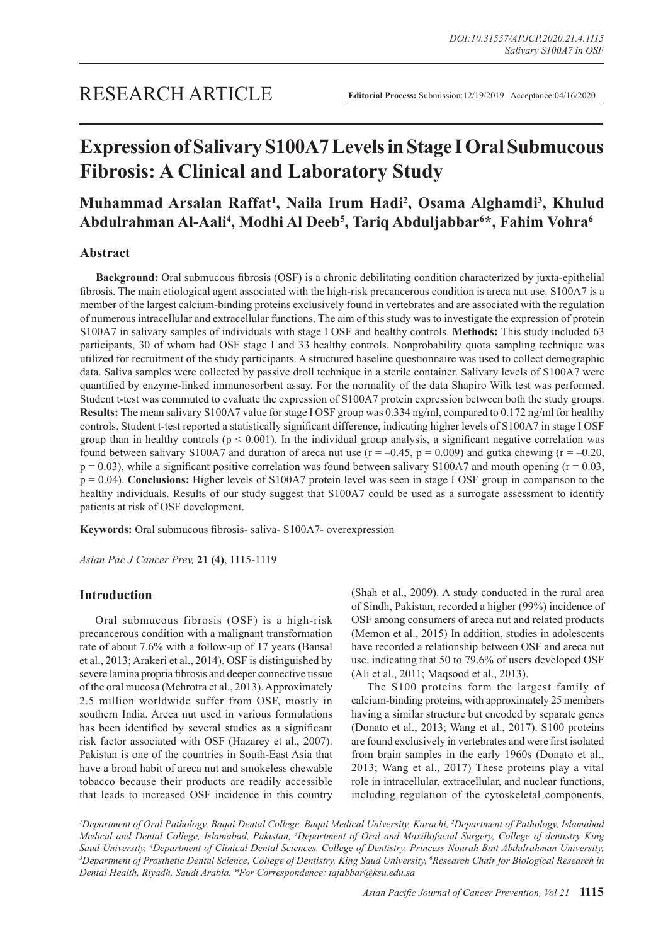# **Expression of Salivary S100A7 Levels in Stage I Oral Submucous Fibrosis: A Clinical and Laboratory Study**

## **Muhammad Arsalan Raffat1 , Naila Irum Hadi2 , Osama Alghamdi3 , Khulud Abdulrahman Al-Aali4 , Modhi Al Deeb5 , Tariq Abduljabbar6 \*, Fahim Vohra6**

## **Abstract**

**Background:** Oral submucous fibrosis (OSF) is a chronic debilitating condition characterized by juxta-epithelial fibrosis. The main etiological agent associated with the high-risk precancerous condition is areca nut use. S100A7 is a member of the largest calcium-binding proteins exclusively found in vertebrates and are associated with the regulation of numerous intracellular and extracellular functions. The aim of this study was to investigate the expression of protein S100A7 in salivary samples of individuals with stage I OSF and healthy controls. **Methods:** This study included 63 participants, 30 of whom had OSF stage I and 33 healthy controls. Nonprobability quota sampling technique was utilized for recruitment of the study participants. A structured baseline questionnaire was used to collect demographic data. Saliva samples were collected by passive droll technique in a sterile container. Salivary levels of S100A7 were quantified by enzyme-linked immunosorbent assay. For the normality of the data Shapiro Wilk test was performed. Student t-test was commuted to evaluate the expression of S100A7 protein expression between both the study groups. **Results:** The mean salivary S100A7 value for stage I OSF group was 0.334 ng/ml, compared to 0.172 ng/ml for healthy controls. Student t-test reported a statistically significant difference, indicating higher levels of S100A7 in stage I OSF group than in healthy controls ( $p < 0.001$ ). In the individual group analysis, a significant negative correlation was found between salivary S100A7 and duration of areca nut use  $(r = -0.45, p = 0.009)$  and gutka chewing  $(r = -0.20,$  $p = 0.03$ ), while a significant positive correlation was found between salivary S100A7 and mouth opening ( $r = 0.03$ ), p = 0.04). **Conclusions:** Higher levels of S100A7 protein level was seen in stage I OSF group in comparison to the healthy individuals. Results of our study suggest that S100A7 could be used as a surrogate assessment to identify patients at risk of OSF development.

**Keywords:** Oral submucous fibrosis- saliva- S100A7- overexpression

*Asian Pac J Cancer Prev,* **21 (4)**, 1115-1119

## **Introduction**

Oral submucous fibrosis (OSF) is a high-risk precancerous condition with a malignant transformation rate of about 7.6% with a follow-up of 17 years (Bansal et al., 2013; Arakeri et al., 2014). OSF is distinguished by severe lamina propria fibrosis and deeper connective tissue of the oral mucosa (Mehrotra et al., 2013). Approximately 2.5 million worldwide suffer from OSF, mostly in southern India. Areca nut used in various formulations has been identified by several studies as a significant risk factor associated with OSF (Hazarey et al., 2007). Pakistan is one of the countries in South-East Asia that have a broad habit of areca nut and smokeless chewable tobacco because their products are readily accessible that leads to increased OSF incidence in this country (Shah et al., 2009). A study conducted in the rural area of Sindh, Pakistan, recorded a higher (99%) incidence of OSF among consumers of areca nut and related products (Memon et al., 2015) In addition, studies in adolescents have recorded a relationship between OSF and areca nut use, indicating that 50 to 79.6% of users developed OSF (Ali et al., 2011; Maqsood et al., 2013).

The S100 proteins form the largest family of calcium-binding proteins, with approximately 25 members having a similar structure but encoded by separate genes (Donato et al., 2013; Wang et al., 2017). S100 proteins are found exclusively in vertebrates and were first isolated from brain samples in the early 1960s (Donato et al., 2013; Wang et al., 2017) These proteins play a vital role in intracellular, extracellular, and nuclear functions, including regulation of the cytoskeletal components,

*1 Department of Oral Pathology, Baqai Dental College, Baqai Medical University, Karachi, 2 Department of Pathology, Islamabad Medical and Dental College, Islamabad, Pakistan, 3 Department of Oral and Maxillofacial Surgery, College of dentistry King Saud University, <sup>4</sup>Department of Clinical Dental Sciences, College of Dentistry, Princess Nourah Bint Abdulrahman University, 55 Apples 15 Apples 15 Apples 15 Apples 15 Apples 15 Apples 15 Apples 15 Apples 15 Apples 15 A Department of Prosthetic Dental Science, College of Dentistry, King Saud University, 6 Research Chair for Biological Research in Dental Health, Riyadh, Saudi Arabia. \*For Correspondence: tajabbar@ksu.edu.sa*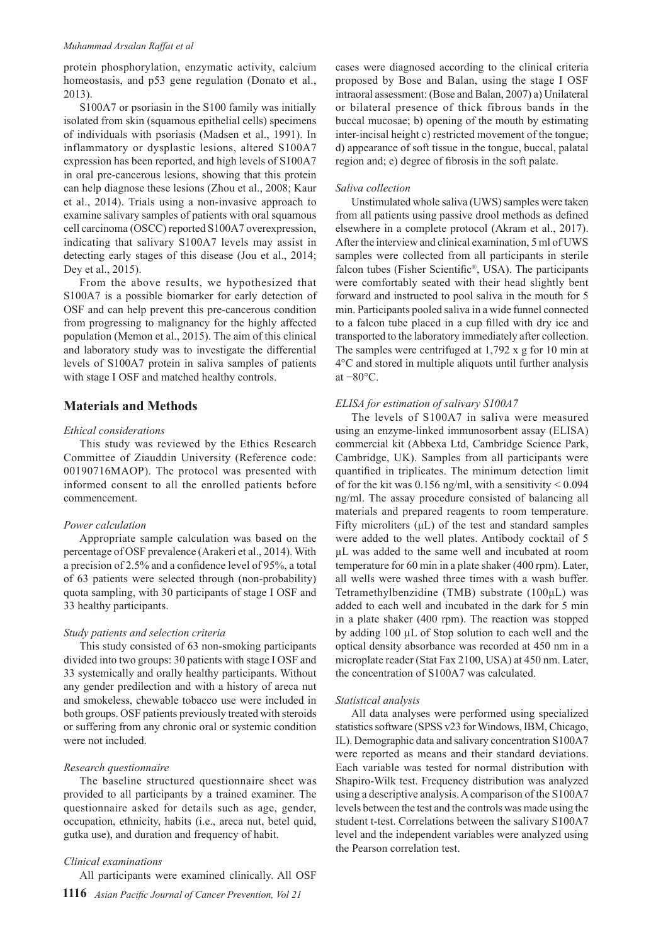#### *Muhammad Arsalan Raffat et al*

protein phosphorylation, enzymatic activity, calcium homeostasis, and p53 gene regulation (Donato et al., 2013).

S100A7 or psoriasin in the S100 family was initially isolated from skin (squamous epithelial cells) specimens of individuals with psoriasis (Madsen et al., 1991). In inflammatory or dysplastic lesions, altered S100A7 expression has been reported, and high levels of S100A7 in oral pre-cancerous lesions, showing that this protein can help diagnose these lesions (Zhou et al., 2008; Kaur et al., 2014). Trials using a non-invasive approach to examine salivary samples of patients with oral squamous cell carcinoma (OSCC) reported S100A7 overexpression, indicating that salivary S100A7 levels may assist in detecting early stages of this disease (Jou et al., 2014; Dey et al., 2015).

From the above results, we hypothesized that S100A7 is a possible biomarker for early detection of OSF and can help prevent this pre-cancerous condition from progressing to malignancy for the highly affected population (Memon et al., 2015). The aim of this clinical and laboratory study was to investigate the differential levels of S100A7 protein in saliva samples of patients with stage I OSF and matched healthy controls.

## **Materials and Methods**

#### *Ethical considerations*

This study was reviewed by the Ethics Research Committee of Ziauddin University (Reference code: 00190716MAOP). The protocol was presented with informed consent to all the enrolled patients before commencement.

#### *Power calculation*

Appropriate sample calculation was based on the percentage of OSF prevalence (Arakeri et al., 2014). With a precision of 2.5% and a confidence level of 95%, a total of 63 patients were selected through (non-probability) quota sampling, with 30 participants of stage I OSF and 33 healthy participants.

#### *Study patients and selection criteria*

This study consisted of 63 non-smoking participants divided into two groups: 30 patients with stage I OSF and 33 systemically and orally healthy participants. Without any gender predilection and with a history of areca nut and smokeless, chewable tobacco use were included in both groups. OSF patients previously treated with steroids or suffering from any chronic oral or systemic condition were not included.

#### *Research questionnaire*

The baseline structured questionnaire sheet was provided to all participants by a trained examiner. The questionnaire asked for details such as age, gender, occupation, ethnicity, habits (i.e., areca nut, betel quid, gutka use), and duration and frequency of habit.

#### *Clinical examinations*

All participants were examined clinically. All OSF

cases were diagnosed according to the clinical criteria proposed by Bose and Balan, using the stage I OSF intraoral assessment: (Bose and Balan, 2007) a) Unilateral or bilateral presence of thick fibrous bands in the buccal mucosae; b) opening of the mouth by estimating inter-incisal height c) restricted movement of the tongue; d) appearance of soft tissue in the tongue, buccal, palatal region and; e) degree of fibrosis in the soft palate.

#### *Saliva collection*

Unstimulated whole saliva (UWS) samples were taken from all patients using passive drool methods as defined elsewhere in a complete protocol (Akram et al., 2017). After the interview and clinical examination, 5 ml of UWS samples were collected from all participants in sterile falcon tubes (Fisher Scientific®, USA). The participants were comfortably seated with their head slightly bent forward and instructed to pool saliva in the mouth for 5 min. Participants pooled saliva in a wide funnel connected to a falcon tube placed in a cup filled with dry ice and transported to the laboratory immediately after collection. The samples were centrifuged at 1,792 x g for 10 min at 4°C and stored in multiple aliquots until further analysis at −80°C.

#### *ELISA for estimation of salivary S100A7*

The levels of S100A7 in saliva were measured using an enzyme-linked immunosorbent assay (ELISA) commercial kit (Abbexa Ltd, Cambridge Science Park, Cambridge, UK). Samples from all participants were quantified in triplicates. The minimum detection limit of for the kit was 0.156 ng/ml, with a sensitivity  $\leq 0.094$ ng/ml. The assay procedure consisted of balancing all materials and prepared reagents to room temperature. Fifty microliters (μL) of the test and standard samples were added to the well plates. Antibody cocktail of 5 µL was added to the same well and incubated at room temperature for 60 min in a plate shaker (400 rpm). Later, all wells were washed three times with a wash buffer. Tetramethylbenzidine (TMB) substrate (100μL) was added to each well and incubated in the dark for 5 min in a plate shaker (400 rpm). The reaction was stopped by adding 100 µL of Stop solution to each well and the optical density absorbance was recorded at 450 nm in a microplate reader (Stat Fax 2100, USA) at 450 nm. Later, the concentration of S100A7 was calculated.

#### *Statistical analysis*

All data analyses were performed using specialized statistics software (SPSS v23 for Windows, IBM, Chicago, IL). Demographic data and salivary concentration S100A7 were reported as means and their standard deviations. Each variable was tested for normal distribution with Shapiro-Wilk test. Frequency distribution was analyzed using a descriptive analysis. A comparison of the S100A7 levels between the test and the controls was made using the student t-test. Correlations between the salivary S100A7 level and the independent variables were analyzed using the Pearson correlation test.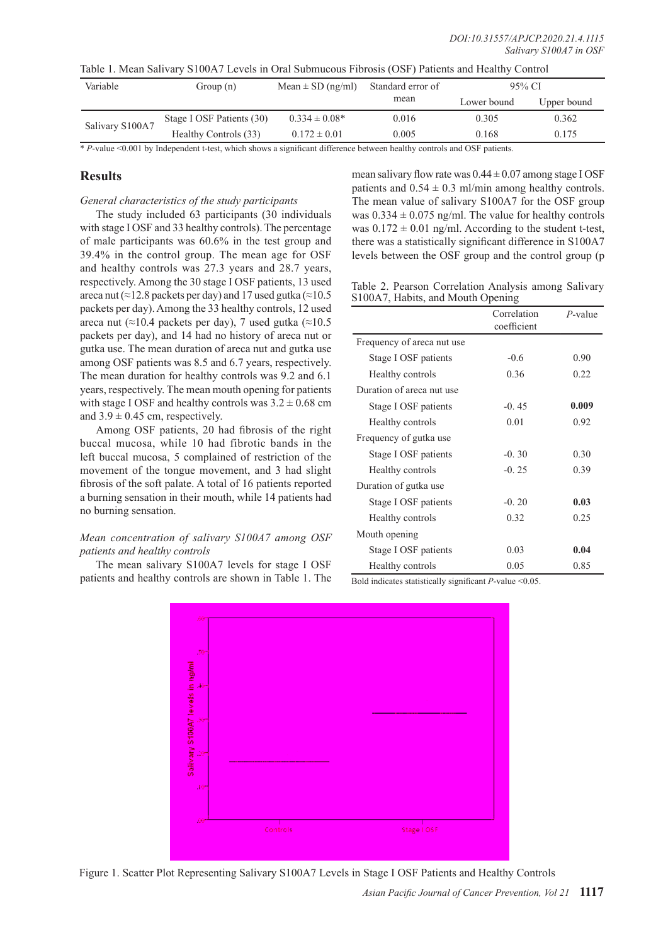Table 1. Mean Salivary S100A7 Levels in Oral Submucous Fibrosis (OSF) Patients and Healthy Control

| Variable        | Group (n)                 | Mean $\pm$ SD (ng/ml) | Standard error of | 95% CI      |             |
|-----------------|---------------------------|-----------------------|-------------------|-------------|-------------|
|                 |                           |                       | mean              | Lower bound | Upper bound |
| Salivary S100A7 | Stage I OSF Patients (30) | $0.334 \pm 0.08*$     | 0.016             | 0.305       | 0.362       |
|                 | Healthy Controls (33)     | $0.172 \pm 0.01$      | 0.005             | 0.168       | 0.175       |

\* *P*-value <0.001 by Independent t-test, which shows a significant difference between healthy controls and OSF patients.

## **Results**

## *General characteristics of the study participants*

The study included 63 participants (30 individuals with stage I OSF and 33 healthy controls). The percentage of male participants was 60.6% in the test group and 39.4% in the control group. The mean age for OSF and healthy controls was 27.3 years and 28.7 years, respectively. Among the 30 stage I OSF patients, 13 used areca nut (≈12.8 packets per day) and 17 used gutka (≈10.5 packets per day). Among the 33 healthy controls, 12 used areca nut (≈10.4 packets per day), 7 used gutka (≈10.5 packets per day), and 14 had no history of areca nut or gutka use. The mean duration of areca nut and gutka use among OSF patients was 8.5 and 6.7 years, respectively. The mean duration for healthy controls was 9.2 and 6.1 years, respectively. The mean mouth opening for patients with stage I OSF and healthy controls was  $3.2 \pm 0.68$  cm and  $3.9 \pm 0.45$  cm, respectively.

Among OSF patients, 20 had fibrosis of the right buccal mucosa, while 10 had fibrotic bands in the left buccal mucosa, 5 complained of restriction of the movement of the tongue movement, and 3 had slight fibrosis of the soft palate. A total of 16 patients reported a burning sensation in their mouth, while 14 patients had no burning sensation.

## *Mean concentration of salivary S100A7 among OSF patients and healthy controls*

The mean salivary S100A7 levels for stage I OSF patients and healthy controls are shown in Table 1. The mean salivary flow rate was  $0.44 \pm 0.07$  among stage I OSF patients and  $0.54 \pm 0.3$  ml/min among healthy controls. The mean value of salivary S100A7 for the OSF group was  $0.334 \pm 0.075$  ng/ml. The value for healthy controls was  $0.172 \pm 0.01$  ng/ml. According to the student t-test, there was a statistically significant difference in S100A7 levels between the OSF group and the control group (p

Table 2. Pearson Correlation Analysis among Salivary S100A7, Habits, and Mouth Opening

|                            | Correlation<br>coefficient | $P$ -value |
|----------------------------|----------------------------|------------|
| Frequency of areca nut use |                            |            |
| Stage I OSF patients       | $-0.6$                     | 0.90       |
| Healthy controls           | 0.36                       | 0.22       |
| Duration of areca nut use  |                            |            |
| Stage I OSF patients       | $-0.45$                    | 0.009      |
| Healthy controls           | 0.01                       | 0.92       |
| Frequency of gutka use     |                            |            |
| Stage I OSF patients       | $-0.30$                    | 0.30       |
| Healthy controls           | $-0.25$                    | 0.39       |
| Duration of gutka use      |                            |            |
| Stage I OSF patients       | $-0.20$                    | 0.03       |
| Healthy controls           | 0.32                       | 0.25       |
| Mouth opening              |                            |            |
| Stage I OSF patients       | 0.03                       | 0.04       |
| Healthy controls           | 0.05                       | 0.85       |

Bold indicates statistically significant *P*-value <0.05.



Figure 1. Scatter Plot Representing Salivary S100A7 Levels in Stage I OSF Patients and Healthy Controls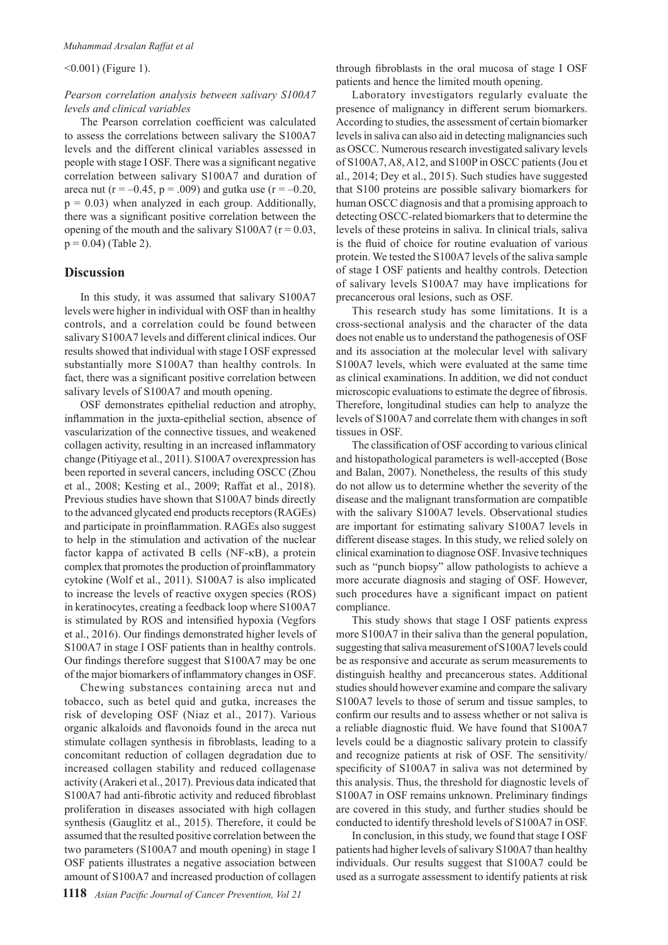## <0.001) (Figure 1).

## *Pearson correlation analysis between salivary S100A7 levels and clinical variables*

The Pearson correlation coefficient was calculated to assess the correlations between salivary the S100A7 levels and the different clinical variables assessed in people with stage I OSF. There was a significant negative correlation between salivary S100A7 and duration of areca nut (r = -0.45, p = .009) and gutka use (r = -0.20,  $p = 0.03$ ) when analyzed in each group. Additionally, there was a significant positive correlation between the opening of the mouth and the salivary S100A7 ( $r = 0.03$ ,  $p = 0.04$ ) (Table 2).

## **Discussion**

In this study, it was assumed that salivary S100A7 levels were higher in individual with OSF than in healthy controls, and a correlation could be found between salivary S100A7 levels and different clinical indices. Our results showed that individual with stage I OSF expressed substantially more S100A7 than healthy controls. In fact, there was a significant positive correlation between salivary levels of S100A7 and mouth opening.

OSF demonstrates epithelial reduction and atrophy, inflammation in the juxta-epithelial section, absence of vascularization of the connective tissues, and weakened collagen activity, resulting in an increased inflammatory change (Pitiyage et al., 2011). S100A7 overexpression has been reported in several cancers, including OSCC (Zhou et al., 2008; Kesting et al., 2009; Raffat et al., 2018). Previous studies have shown that S100A7 binds directly to the advanced glycated end products receptors (RAGEs) and participate in proinflammation. RAGEs also suggest to help in the stimulation and activation of the nuclear factor kappa of activated B cells (NF-κB), a protein complex that promotes the production of proinflammatory cytokine (Wolf et al., 2011). S100A7 is also implicated to increase the levels of reactive oxygen species (ROS) in keratinocytes, creating a feedback loop where S100A7 is stimulated by ROS and intensified hypoxia (Vegfors et al., 2016). Our findings demonstrated higher levels of S100A7 in stage I OSF patients than in healthy controls. Our findings therefore suggest that S100A7 may be one of the major biomarkers of inflammatory changes in OSF.

Chewing substances containing areca nut and tobacco, such as betel quid and gutka, increases the risk of developing OSF (Niaz et al., 2017). Various organic alkaloids and flavonoids found in the areca nut stimulate collagen synthesis in fibroblasts, leading to a concomitant reduction of collagen degradation due to increased collagen stability and reduced collagenase activity (Arakeri et al., 2017). Previous data indicated that S100A7 had anti-fibrotic activity and reduced fibroblast proliferation in diseases associated with high collagen synthesis (Gauglitz et al., 2015). Therefore, it could be assumed that the resulted positive correlation between the two parameters (S100A7 and mouth opening) in stage I OSF patients illustrates a negative association between amount of S100A7 and increased production of collagen through fibroblasts in the oral mucosa of stage I OSF patients and hence the limited mouth opening.

Laboratory investigators regularly evaluate the presence of malignancy in different serum biomarkers. According to studies, the assessment of certain biomarker levels in saliva can also aid in detecting malignancies such as OSCC. Numerous research investigated salivary levels of S100A7, A8, A12, and S100P in OSCC patients (Jou et al., 2014; Dey et al., 2015). Such studies have suggested that S100 proteins are possible salivary biomarkers for human OSCC diagnosis and that a promising approach to detecting OSCC-related biomarkers that to determine the levels of these proteins in saliva. In clinical trials, saliva is the fluid of choice for routine evaluation of various protein. We tested the S100A7 levels of the saliva sample of stage I OSF patients and healthy controls. Detection of salivary levels S100A7 may have implications for precancerous oral lesions, such as OSF.

This research study has some limitations. It is a cross-sectional analysis and the character of the data does not enable us to understand the pathogenesis of OSF and its association at the molecular level with salivary S100A7 levels, which were evaluated at the same time as clinical examinations. In addition, we did not conduct microscopic evaluations to estimate the degree of fibrosis. Therefore, longitudinal studies can help to analyze the levels of S100A7 and correlate them with changes in soft tissues in OSF.

The classification of OSF according to various clinical and histopathological parameters is well-accepted (Bose and Balan, 2007). Nonetheless, the results of this study do not allow us to determine whether the severity of the disease and the malignant transformation are compatible with the salivary S100A7 levels. Observational studies are important for estimating salivary S100A7 levels in different disease stages. In this study, we relied solely on clinical examination to diagnose OSF. Invasive techniques such as "punch biopsy" allow pathologists to achieve a more accurate diagnosis and staging of OSF. However, such procedures have a significant impact on patient compliance.

This study shows that stage I OSF patients express more S100A7 in their saliva than the general population, suggesting that saliva measurement of S100A7 levels could be as responsive and accurate as serum measurements to distinguish healthy and precancerous states. Additional studies should however examine and compare the salivary S100A7 levels to those of serum and tissue samples, to confirm our results and to assess whether or not saliva is a reliable diagnostic fluid. We have found that S100A7 levels could be a diagnostic salivary protein to classify and recognize patients at risk of OSF. The sensitivity/ specificity of S100A7 in saliva was not determined by this analysis. Thus, the threshold for diagnostic levels of S100A7 in OSF remains unknown. Preliminary findings are covered in this study, and further studies should be conducted to identify threshold levels of S100A7 in OSF.

In conclusion, in this study, we found that stage I OSF patients had higher levels of salivary S100A7 than healthy individuals. Our results suggest that S100A7 could be used as a surrogate assessment to identify patients at risk